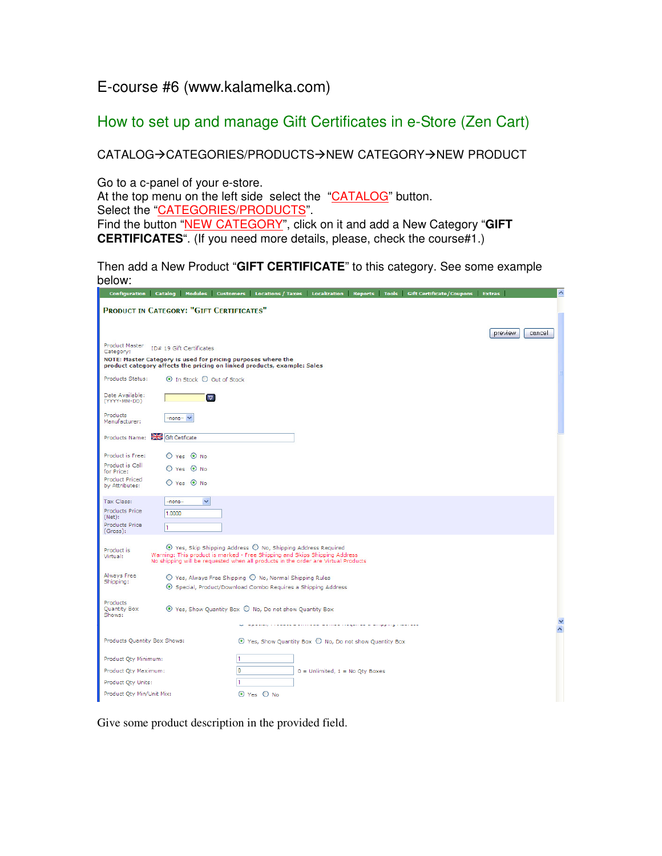## E-course #6 (www.kalamelka.com)

# How to set up and manage Gift Certificates in e-Store (Zen Cart)

CATALOG->CATEGORIES/PRODUCTS->NEW CATEGORY->NEW PRODUCT

Go to a c-panel of your e-store.

At the top menu on the left side select the "CATALOG" button.

Select the "CATEGORIES/PRODUCTS".

Find the button "NEW CATEGORY", click on it and add a New Category "**GIFT CERTIFICATES**". (If you need more details, please, check the course#1.)

Then add a New Product "**GIFT CERTIFICATE**" to this category. See some example below:

|                                                              |            |                          |                                          |                                                                                                                                                                                                                                                |                                     |  | Configuration Catalog Modules Customers Locations/Taxes Localization Reports Tools Gift Certificate/Coupons Extras |                   |
|--------------------------------------------------------------|------------|--------------------------|------------------------------------------|------------------------------------------------------------------------------------------------------------------------------------------------------------------------------------------------------------------------------------------------|-------------------------------------|--|--------------------------------------------------------------------------------------------------------------------|-------------------|
| PRODUCT IN CATEGORY: "GIFT CERTIFICATES"                     |            |                          |                                          |                                                                                                                                                                                                                                                |                                     |  |                                                                                                                    |                   |
|                                                              |            |                          |                                          |                                                                                                                                                                                                                                                |                                     |  |                                                                                                                    |                   |
|                                                              |            |                          |                                          |                                                                                                                                                                                                                                                |                                     |  |                                                                                                                    | preview<br>cancel |
| <b>Product Master</b><br>Category:                           |            | ID# 19 Gift Certificates |                                          |                                                                                                                                                                                                                                                |                                     |  |                                                                                                                    |                   |
| NOTE: Master Category is used for pricing purposes where the |            |                          |                                          | product category affects the pricing on linked products, example: Sales                                                                                                                                                                        |                                     |  |                                                                                                                    |                   |
| Products Status:                                             |            |                          | $\odot$ In Stock $\bigcirc$ Out of Stock |                                                                                                                                                                                                                                                |                                     |  |                                                                                                                    |                   |
| Date Available:<br>(YYYY-MM-DD)                              |            | $\triangledown$          |                                          |                                                                                                                                                                                                                                                |                                     |  |                                                                                                                    |                   |
| Products<br>Manufacturer:                                    | $none - •$ |                          |                                          |                                                                                                                                                                                                                                                |                                     |  |                                                                                                                    |                   |
| Products Name: Gift Certificate                              |            |                          |                                          |                                                                                                                                                                                                                                                |                                     |  |                                                                                                                    |                   |
| Product is Free:                                             |            | $O$ Yes $O$ No           |                                          |                                                                                                                                                                                                                                                |                                     |  |                                                                                                                    |                   |
| Product is Call<br>for Price:                                |            | O Yes <sup>O</sup> No    |                                          |                                                                                                                                                                                                                                                |                                     |  |                                                                                                                    |                   |
| <b>Product Priced</b><br>by Attributes:                      |            | ○ Yes ⊙ No               |                                          |                                                                                                                                                                                                                                                |                                     |  |                                                                                                                    |                   |
| Tax Class:                                                   | -none-     | v                        |                                          |                                                                                                                                                                                                                                                |                                     |  |                                                                                                                    |                   |
| <b>Products Price</b><br>(Net):                              | 1.0000     |                          |                                          |                                                                                                                                                                                                                                                |                                     |  |                                                                                                                    |                   |
| <b>Products Price</b><br>(Gross):                            | 1          |                          |                                          |                                                                                                                                                                                                                                                |                                     |  |                                                                                                                    |                   |
| Product is<br>Virtual:                                       |            |                          |                                          | $\odot$ Yes, Skip Shipping Address $\bigcirc$ No, Shipping Address Required<br>Warning: This product is marked - Free Shipping and Skips Shipping Address<br>No shipping will be requested when all products in the order are Virtual Products |                                     |  |                                                                                                                    |                   |
| Always Free<br>Shipping:                                     |            |                          |                                          | $\bigcirc$ Yes, Always Free Shipping $\bigcirc$ No, Normal Shipping Rules                                                                                                                                                                      |                                     |  |                                                                                                                    |                   |
|                                                              |            |                          |                                          | Special, Product/Download Combo Requires a Shipping Address                                                                                                                                                                                    |                                     |  |                                                                                                                    |                   |
| Products<br>Quantity Box<br>Shows:                           |            |                          |                                          | $\odot$ Yes, Show Quantity Box $\bigcirc$ No, Do not show Quantity Box                                                                                                                                                                         |                                     |  |                                                                                                                    |                   |
|                                                              |            |                          |                                          |                                                                                                                                                                                                                                                |                                     |  |                                                                                                                    | $\frac{1}{2}$     |
| Products Quantity Box Shows:                                 |            |                          |                                          | $\odot$ Yes, Show Quantity Box $\bigcirc$ No, Do not show Quantity Box                                                                                                                                                                         |                                     |  |                                                                                                                    |                   |
| Product Qty Minimum:                                         |            |                          | H.                                       |                                                                                                                                                                                                                                                |                                     |  |                                                                                                                    |                   |
| Product Qty Maximum:                                         |            |                          | 10                                       |                                                                                                                                                                                                                                                | $0 =$ Unlimited, $1 =$ No Qty Boxes |  |                                                                                                                    |                   |
| Product Qty Units:                                           |            |                          |                                          |                                                                                                                                                                                                                                                |                                     |  |                                                                                                                    |                   |
| Product Qty Min/Unit Mix:                                    |            |                          |                                          | ⊙ Yes ○ No                                                                                                                                                                                                                                     |                                     |  |                                                                                                                    |                   |

Give some product description in the provided field.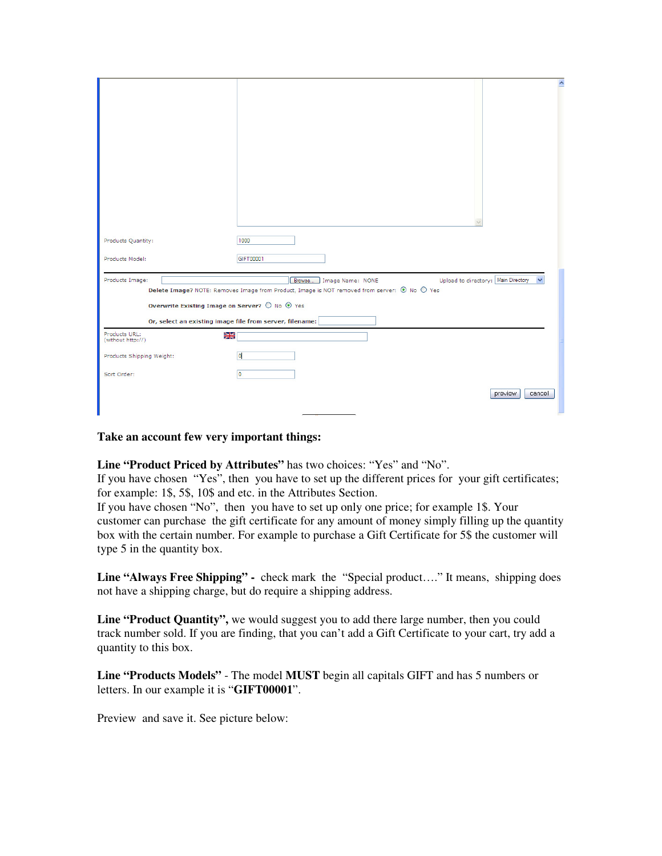|                                                          | $\hat{\phantom{a}}$                                                                                                                                               |
|----------------------------------------------------------|-------------------------------------------------------------------------------------------------------------------------------------------------------------------|
|                                                          |                                                                                                                                                                   |
| Products Quantity:                                       | 1000                                                                                                                                                              |
| Products Model:                                          | GIFT00001                                                                                                                                                         |
| Products Image:                                          | Upload to directory: Main Directory<br>Browse<br>Image Name: NONE<br>Delete Image? NOTE: Removes Image from Product, Image is NOT removed from server: ⊙ No ○ Yes |
| Overwrite Existing Image on Server? ○ No ⊙ Yes           |                                                                                                                                                                   |
| Or, select an existing image file from server, filename: |                                                                                                                                                                   |
| Products URL:<br>꾉<br>(without http://)                  |                                                                                                                                                                   |
| Products Shipping Weight:                                | d                                                                                                                                                                 |
| Sort Order:                                              | o                                                                                                                                                                 |
|                                                          | preview<br>cancel                                                                                                                                                 |

### **Take an account few very important things:**

**Line "Product Priced by Attributes"** has two choices: "Yes" and "No".

If you have chosen "Yes", then you have to set up the different prices for your gift certificates; for example: 1\$, 5\$, 10\$ and etc. in the Attributes Section.

If you have chosen "No", then you have to set up only one price; for example 1\$. Your customer can purchase the gift certificate for any amount of money simply filling up the quantity box with the certain number. For example to purchase a Gift Certificate for 5\$ the customer will type 5 in the quantity box.

**Line "Always Free Shipping" -** check mark the "Special product…." It means, shipping does not have a shipping charge, but do require a shipping address.

Line "Product Quantity", we would suggest you to add there large number, then you could track number sold. If you are finding, that you can't add a Gift Certificate to your cart, try add a quantity to this box.

**Line "Products Models"** - The model **MUST** begin all capitals GIFT and has 5 numbers or letters. In our example it is "**GIFT00001**".

Preview and save it. See picture below: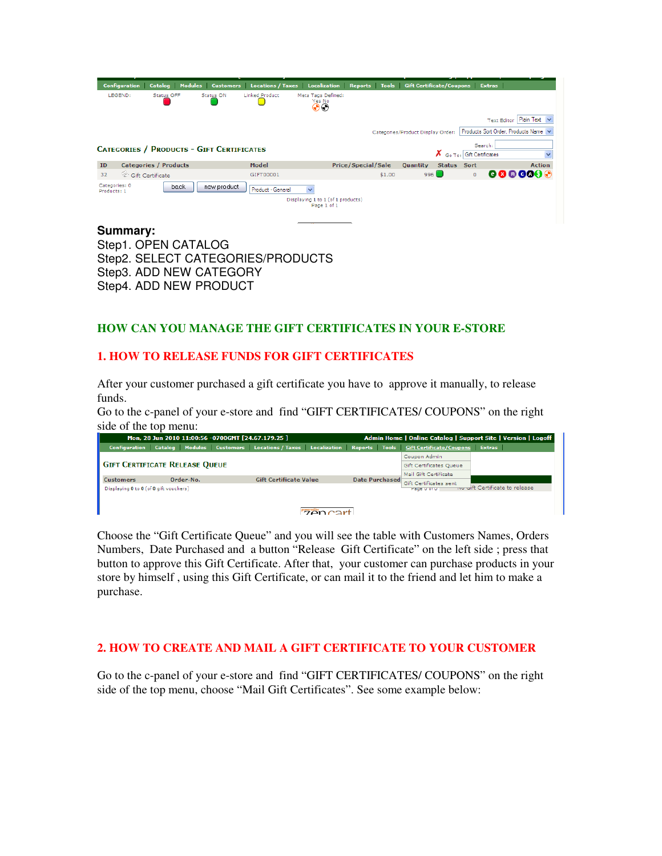| <b>Configuration</b>         | <b>Catalog</b>                                   |             |                       | Modules Customers Locations/Taxes Localization Reports Tools Gift Certificate/Coupons Extras |                           |                                   |               |                          |                                      |
|------------------------------|--------------------------------------------------|-------------|-----------------------|----------------------------------------------------------------------------------------------|---------------------------|-----------------------------------|---------------|--------------------------|--------------------------------------|
| LEGEND:                      | <b>Status OFF</b>                                | Status ON   | <b>Linked Product</b> | Meta Tags Defined:<br><b>Yes No</b><br>$\odot$                                               |                           |                                   |               |                          |                                      |
|                              |                                                  |             |                       |                                                                                              |                           |                                   |               |                          | Text Editor   Plain Text V           |
|                              |                                                  |             |                       |                                                                                              |                           | Categories/Product Display Order: |               |                          | Products Sort Order, Products Name V |
|                              |                                                  |             |                       |                                                                                              |                           |                                   |               | Search:                  |                                      |
|                              | <b>CATEGORIES / PRODUCTS - GIFT CERTIFICATES</b> |             |                       |                                                                                              |                           |                                   | х<br>Go To:   | <b>Gift Certificates</b> |                                      |
| ID                           | <b>Categories / Products</b>                     |             | Model                 |                                                                                              | <b>Price/Special/Sale</b> | <b>Quantity</b>                   | <b>Status</b> | Sort                     | <b>Action</b>                        |
| 32                           | Gift Certificate                                 |             | GIFT00001             |                                                                                              |                           | \$1.00                            | $996$ $\Box$  | $\circ$                  | 880000A                              |
| Categories: 0<br>Products: 1 | back                                             | new product | Product - General     | $\overline{\mathbf{v}}$                                                                      |                           |                                   |               |                          |                                      |
|                              |                                                  |             |                       | Displaying 1 to 1 (of 1 products)<br>Page 1 of 1                                             |                           |                                   |               |                          |                                      |
|                              |                                                  |             |                       |                                                                                              |                           |                                   |               |                          |                                      |
| Summary:                     |                                                  |             |                       |                                                                                              |                           |                                   |               |                          |                                      |

Step1. OPEN CATALOG Step2. SELECT CATEGORIES/PRODUCTS Step3. ADD NEW CATEGORY Step4. ADD NEW PRODUCT

### **HOW CAN YOU MANAGE THE GIFT CERTIFICATES IN YOUR E-STORE**

## **1. HOW TO RELEASE FUNDS FOR GIFT CERTIFICATES**

After your customer purchased a gift certificate you have to approve it manually, to release funds.

Go to the c-panel of your e-store and find "GIFT CERTIFICATES/ COUPONS" on the right side of the top menu:

|                                                            | Mon, 28 Jun 2010 11:00:56 -0700GMT [24.67.179.25 ] |                                                                                                                    |                | Admin Home   Online Catalog   Support Site   Version   Logoff |                                |  |  |  |
|------------------------------------------------------------|----------------------------------------------------|--------------------------------------------------------------------------------------------------------------------|----------------|---------------------------------------------------------------|--------------------------------|--|--|--|
|                                                            |                                                    | Configuration Catalog Modules Customers Locations/Taxes Localization Reports Tools Gift Certificate/Coupons Extras |                |                                                               |                                |  |  |  |
|                                                            |                                                    |                                                                                                                    |                | Coupon Admin                                                  |                                |  |  |  |
|                                                            | <b>GIFT CERTIFICATE RELEASE QUEUE</b>              |                                                                                                                    |                | <b>Gift Certificates Queue</b>                                |                                |  |  |  |
|                                                            |                                                    |                                                                                                                    |                | Mail Gift Certificate                                         |                                |  |  |  |
| <b>Customers</b><br>Displaying 0 to 0 (of 0 gift vouchers) | Order-No.                                          | <b>Gift Certificate Value</b>                                                                                      | Date Purchased | Gift Certificates sent<br>Page 0 or 0                         | wo oift Certificate to release |  |  |  |
|                                                            |                                                    |                                                                                                                    |                |                                                               |                                |  |  |  |
|                                                            |                                                    |                                                                                                                    |                |                                                               |                                |  |  |  |
| $7200$ COM                                                 |                                                    |                                                                                                                    |                |                                                               |                                |  |  |  |

Choose the "Gift Certificate Queue" and you will see the table with Customers Names, Orders Numbers, Date Purchased and a button "Release Gift Certificate" on the left side ; press that button to approve this Gift Certificate. After that, your customer can purchase products in your store by himself , using this Gift Certificate, or can mail it to the friend and let him to make a purchase.

## **2. HOW TO CREATE AND MAIL A GIFT CERTIFICATE TO YOUR CUSTOMER**

Go to the c-panel of your e-store and find "GIFT CERTIFICATES/ COUPONS" on the right side of the top menu, choose "Mail Gift Certificates". See some example below: